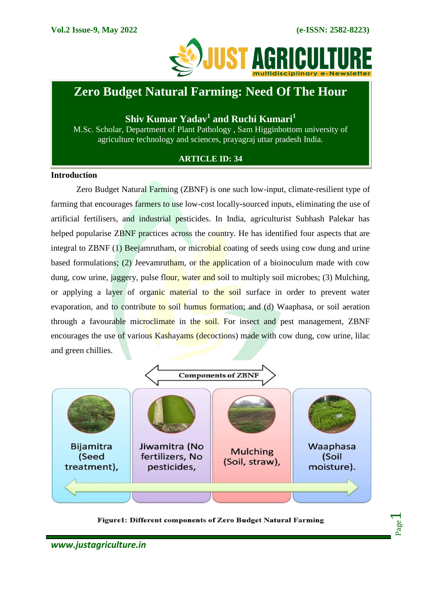

## **Zero Budget Natural Farming: Need Of The Hour**

**Shiv Kumar Yadav<sup>1</sup> and Ruchi Kumari<sup>1</sup>**

M.Sc. Scholar, Department of Plant Pathology , Sam Higginbottom university of agriculture technology and sciences, prayagraj uttar pradesh India.

### **ARTICLE ID: 34**

#### **Introduction**

Zero Budget Natural Farming (ZBNF) is one such low-input, climate-resilient type of farming that encourages farmers to use low-cost locally-sourced inputs, eliminating the use of artificial fertilisers, and industrial pesticides. In India, agriculturist Subhash Palekar has helped popularise ZBNF practices across the country. He has identified four aspects that are integral to ZBNF (1) Beejamrutham, or microbial coating of seeds using cow dung and urine based formulations; (2) Jeevamrutham, or the application of a bioinoculum made with cow dung, cow urine, jaggery, pulse flour, water and soil to multiply soil microbes; (3) Mulching, or applying a layer of organic material to the soil surface in order to prevent water evaporation, and to contribute to soil humus formation; and (d) Waaphasa, or soil aeration through a favourable microclimate in the soil. For insect and pest management, ZBNF encourages the use of various Kashayams (decoctions) made with cow dung, cow urine, lilac and green chillies.



Figure1: Different components of Zero Budget Natural Farming

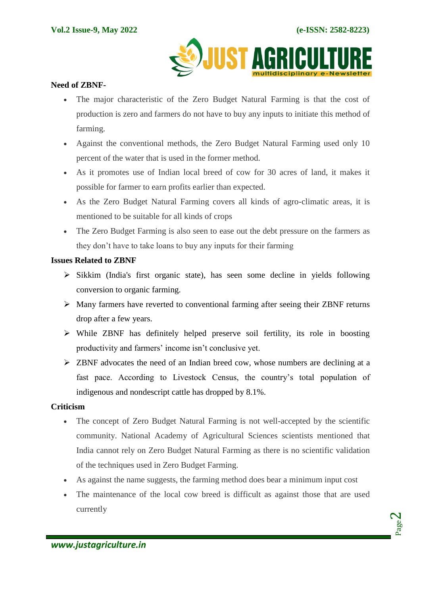

#### **Need of ZBNF-**

- The major characteristic of the Zero Budget Natural Farming is that the cost of production is zero and farmers do not have to buy any inputs to initiate this method of farming.
- Against the conventional methods, the Zero Budget Natural Farming used only 10 percent of the water that is used in the former method.
- As it promotes use of Indian local breed of cow for 30 acres of land, it makes it possible for farmer to earn profits earlier than expected.
- As the Zero Budget Natural Farming covers all kinds of agro-climatic areas, it is mentioned to be suitable for all kinds of crops
- The Zero Budget Farming is also seen to ease out the debt pressure on the farmers as they don't have to take loans to buy any inputs for their farming

#### **Issues Related to ZBNF**

- $\triangleright$  Sikkim (India's first organic state), has seen some decline in vields following conversion to organic farming.
- Many farmers have reverted to conventional farming after seeing their ZBNF returns drop after a few years.
- While ZBNF has definitely helped preserve soil fertility, its role in boosting productivity and farmers' income isn't conclusive yet.
- $\triangleright$  ZBNF advocates the need of an Indian breed cow, whose numbers are declining at a fast pace. According to Livestock Census, the country's total population of indigenous and nondescript cattle has dropped by 8.1%.

#### **Criticism**

- The concept of Zero Budget Natural Farming is not well-accepted by the scientific community. National Academy of Agricultural Sciences scientists mentioned that India cannot rely on Zero Budget Natural Farming as there is no scientific validation of the techniques used in Zero Budget Farming.
- As against the name suggests, the farming method does bear a minimum input cost
- The maintenance of the local cow breed is difficult as against those that are used currently